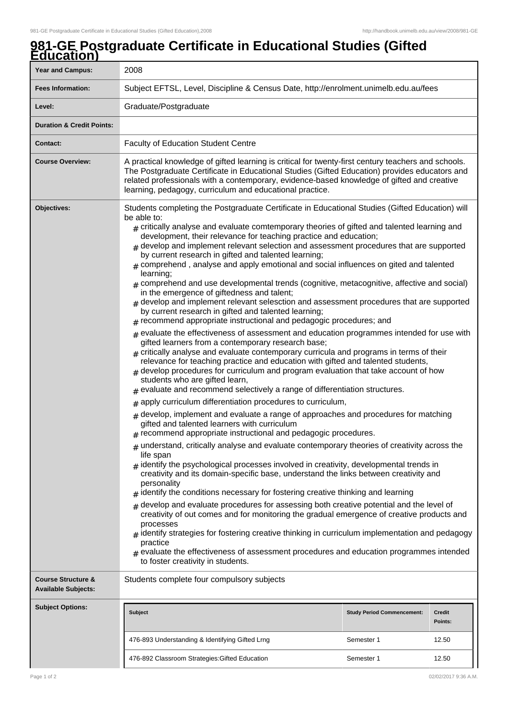## **981-GE Postgraduate Certificate in Educational Studies (Gifted Education)**

| -uuvauvii)                                                  |                                                                                                                                                                                                                                                                                                                                                                                                                                                                                                                                                                                                                                                                                                                                                                                                                                                                                                                                                                                                                                                                                             |                                   |                          |  |  |
|-------------------------------------------------------------|---------------------------------------------------------------------------------------------------------------------------------------------------------------------------------------------------------------------------------------------------------------------------------------------------------------------------------------------------------------------------------------------------------------------------------------------------------------------------------------------------------------------------------------------------------------------------------------------------------------------------------------------------------------------------------------------------------------------------------------------------------------------------------------------------------------------------------------------------------------------------------------------------------------------------------------------------------------------------------------------------------------------------------------------------------------------------------------------|-----------------------------------|--------------------------|--|--|
| <b>Year and Campus:</b>                                     | 2008                                                                                                                                                                                                                                                                                                                                                                                                                                                                                                                                                                                                                                                                                                                                                                                                                                                                                                                                                                                                                                                                                        |                                   |                          |  |  |
| <b>Fees Information:</b>                                    | Subject EFTSL, Level, Discipline & Census Date, http://enrolment.unimelb.edu.au/fees                                                                                                                                                                                                                                                                                                                                                                                                                                                                                                                                                                                                                                                                                                                                                                                                                                                                                                                                                                                                        |                                   |                          |  |  |
| Level:                                                      | Graduate/Postgraduate                                                                                                                                                                                                                                                                                                                                                                                                                                                                                                                                                                                                                                                                                                                                                                                                                                                                                                                                                                                                                                                                       |                                   |                          |  |  |
| <b>Duration &amp; Credit Points:</b>                        |                                                                                                                                                                                                                                                                                                                                                                                                                                                                                                                                                                                                                                                                                                                                                                                                                                                                                                                                                                                                                                                                                             |                                   |                          |  |  |
| Contact:                                                    | <b>Faculty of Education Student Centre</b>                                                                                                                                                                                                                                                                                                                                                                                                                                                                                                                                                                                                                                                                                                                                                                                                                                                                                                                                                                                                                                                  |                                   |                          |  |  |
| <b>Course Overview:</b>                                     | A practical knowledge of gifted learning is critical for twenty-first century teachers and schools.<br>The Postgraduate Certificate in Educational Studies (Gifted Education) provides educators and<br>related professionals with a contemporary, evidence-based knowledge of gifted and creative<br>learning, pedagogy, curriculum and educational practice.                                                                                                                                                                                                                                                                                                                                                                                                                                                                                                                                                                                                                                                                                                                              |                                   |                          |  |  |
| Objectives:                                                 | Students completing the Postgraduate Certificate in Educational Studies (Gifted Education) will<br>be able to:<br>$#$ critically analyse and evaluate comtemporary theories of gifted and talented learning and<br>development, their relevance for teaching practice and education;<br>$_{\#}$ develop and implement relevant selection and assessment procedures that are supported<br>by current research in gifted and talented learning;<br>$#$ comprehend, analyse and apply emotional and social influences on gited and talented<br>learning;<br>$#$ comprehend and use developmental trends (cognitive, metacognitive, affective and social)<br>in the emergence of giftedness and talent;<br>$_{\#}$ develop and implement relevant selesction and assessment procedures that are supported<br>by current research in gifted and talented learning;<br>$#$ recommend appropriate instructional and pedagogic procedures; and<br>$#$ evaluate the effectiveness of assessment and education programmes intended for use with<br>gifted learners from a contemporary research base; |                                   |                          |  |  |
|                                                             | $_{\#}$ critically analyse and evaluate contemporary curricula and programs in terms of their<br>relevance for teaching practice and education with gifted and talented students,<br>$*$ develop procedures for curriculum and program evaluation that take account of how<br>students who are gifted learn,<br>$#$ evaluate and recommend selectively a range of differentiation structures.<br>apply curriculum differentiation procedures to curriculum,<br>#                                                                                                                                                                                                                                                                                                                                                                                                                                                                                                                                                                                                                            |                                   |                          |  |  |
|                                                             | $_{\#}$ develop, implement and evaluate a range of approaches and procedures for matching<br>gifted and talented learners with curriculum<br>$#$ recommend appropriate instructional and pedagogic procedures.                                                                                                                                                                                                                                                                                                                                                                                                                                                                                                                                                                                                                                                                                                                                                                                                                                                                              |                                   |                          |  |  |
|                                                             | $#$ understand, critically analyse and evaluate contemporary theories of creativity across the<br>life span<br>$_{\#}$ identify the psychological processes involved in creativity, developmental trends in<br>creativity and its domain-specific base, understand the links between creativity and<br>personality<br>$_{\#}$ identify the conditions necessary for fostering creative thinking and learning<br>$_{\#}$ develop and evaluate procedures for assessing both creative potential and the level of<br>creativity of out comes and for monitoring the gradual emergence of creative products and<br>processes<br>$_{\#}$ identify strategies for fostering creative thinking in curriculum implementation and pedagogy<br>practice<br>$_{\#}$ evaluate the effectiveness of assessment procedures and education programmes intended<br>to foster creativity in students.                                                                                                                                                                                                         |                                   |                          |  |  |
| <b>Course Structure &amp;</b><br><b>Available Subjects:</b> | Students complete four compulsory subjects                                                                                                                                                                                                                                                                                                                                                                                                                                                                                                                                                                                                                                                                                                                                                                                                                                                                                                                                                                                                                                                  |                                   |                          |  |  |
| <b>Subject Options:</b>                                     | <b>Subject</b>                                                                                                                                                                                                                                                                                                                                                                                                                                                                                                                                                                                                                                                                                                                                                                                                                                                                                                                                                                                                                                                                              | <b>Study Period Commencement:</b> | <b>Credit</b><br>Points: |  |  |
|                                                             | 476-893 Understanding & Identifying Gifted Lrng                                                                                                                                                                                                                                                                                                                                                                                                                                                                                                                                                                                                                                                                                                                                                                                                                                                                                                                                                                                                                                             | Semester 1                        | 12.50                    |  |  |
|                                                             | 476-892 Classroom Strategies: Gifted Education                                                                                                                                                                                                                                                                                                                                                                                                                                                                                                                                                                                                                                                                                                                                                                                                                                                                                                                                                                                                                                              | Semester 1                        | 12.50                    |  |  |